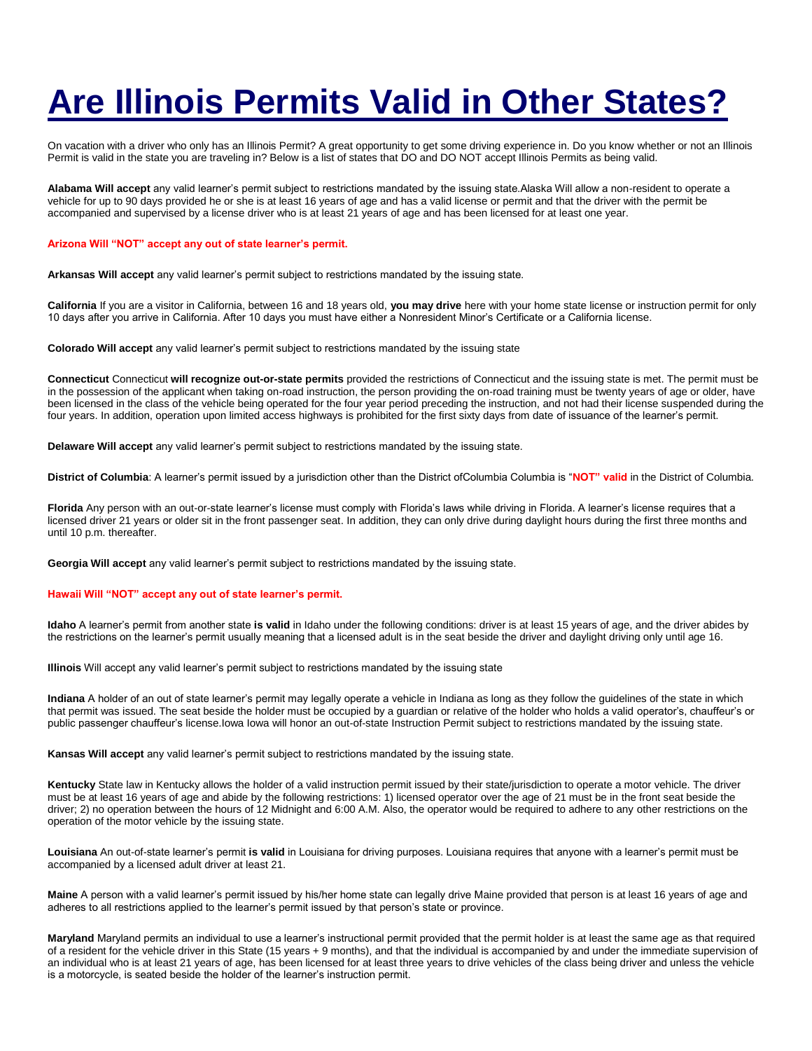## **Are Illinois Permits Valid in Other States?**

On vacation with a driver who only has an Illinois Permit? A great opportunity to get some driving experience in. Do you know whether or not an Illinois Permit is valid in the state you are traveling in? Below is a list of states that DO and DO NOT accept Illinois Permits as being valid.

**Alabama Will accept** any valid learner's permit subject to restrictions mandated by the issuing state.Alaska Will allow a non-resident to operate a vehicle for up to 90 days provided he or she is at least 16 years of age and has a valid license or permit and that the driver with the permit be accompanied and supervised by a license driver who is at least 21 years of age and has been licensed for at least one year.

## **Arizona Will "NOT" accept any out of state learner's permit.**

**Arkansas Will accept** any valid learner's permit subject to restrictions mandated by the issuing state.

**California** If you are a visitor in California, between 16 and 18 years old, **you may drive** here with your home state license or instruction permit for only 10 days after you arrive in California. After 10 days you must have either a Nonresident Minor's Certificate or a California license.

**Colorado Will accept** any valid learner's permit subject to restrictions mandated by the issuing state

**Connecticut** Connecticut **will recognize out-or-state permits** provided the restrictions of Connecticut and the issuing state is met. The permit must be in the possession of the applicant when taking on-road instruction, the person providing the on-road training must be twenty years of age or older, have been licensed in the class of the vehicle being operated for the four year period preceding the instruction, and not had their license suspended during the four years. In addition, operation upon limited access highways is prohibited for the first sixty days from date of issuance of the learner's permit.

**Delaware Will accept** any valid learner's permit subject to restrictions mandated by the issuing state.

**District of Columbia**: A learner's permit issued by a jurisdiction other than the District ofColumbia Columbia is "**NOT" valid** in the District of Columbia.

**Florida** Any person with an out-or-state learner's license must comply with Florida's laws while driving in Florida. A learner's license requires that a licensed driver 21 years or older sit in the front passenger seat. In addition, they can only drive during daylight hours during the first three months and until 10 p.m. thereafter.

**Georgia Will accept** any valid learner's permit subject to restrictions mandated by the issuing state.

## **Hawaii Will "NOT" accept any out of state learner's permit.**

**Idaho** A learner's permit from another state **is valid** in Idaho under the following conditions: driver is at least 15 years of age, and the driver abides by the restrictions on the learner's permit usually meaning that a licensed adult is in the seat beside the driver and daylight driving only until age 16.

**Illinois** Will accept any valid learner's permit subject to restrictions mandated by the issuing state

**Indiana** A holder of an out of state learner's permit may legally operate a vehicle in Indiana as long as they follow the guidelines of the state in which that permit was issued. The seat beside the holder must be occupied by a guardian or relative of the holder who holds a valid operator's, chauffeur's or public passenger chauffeur's license.Iowa Iowa will honor an out-of-state Instruction Permit subject to restrictions mandated by the issuing state.

**Kansas Will accept** any valid learner's permit subject to restrictions mandated by the issuing state.

**Kentucky** State law in Kentucky allows the holder of a valid instruction permit issued by their state/jurisdiction to operate a motor vehicle. The driver must be at least 16 years of age and abide by the following restrictions: 1) licensed operator over the age of 21 must be in the front seat beside the driver; 2) no operation between the hours of 12 Midnight and 6:00 A.M. Also, the operator would be required to adhere to any other restrictions on the operation of the motor vehicle by the issuing state.

**Louisiana** An out-of-state learner's permit **is valid** in Louisiana for driving purposes. Louisiana requires that anyone with a learner's permit must be accompanied by a licensed adult driver at least 21.

**Maine** A person with a valid learner's permit issued by his/her home state can legally drive Maine provided that person is at least 16 years of age and adheres to all restrictions applied to the learner's permit issued by that person's state or province.

**Maryland** Maryland permits an individual to use a learner's instructional permit provided that the permit holder is at least the same age as that required of a resident for the vehicle driver in this State (15 years + 9 months), and that the individual is accompanied by and under the immediate supervision of an individual who is at least 21 years of age, has been licensed for at least three years to drive vehicles of the class being driver and unless the vehicle is a motorcycle, is seated beside the holder of the learner's instruction permit.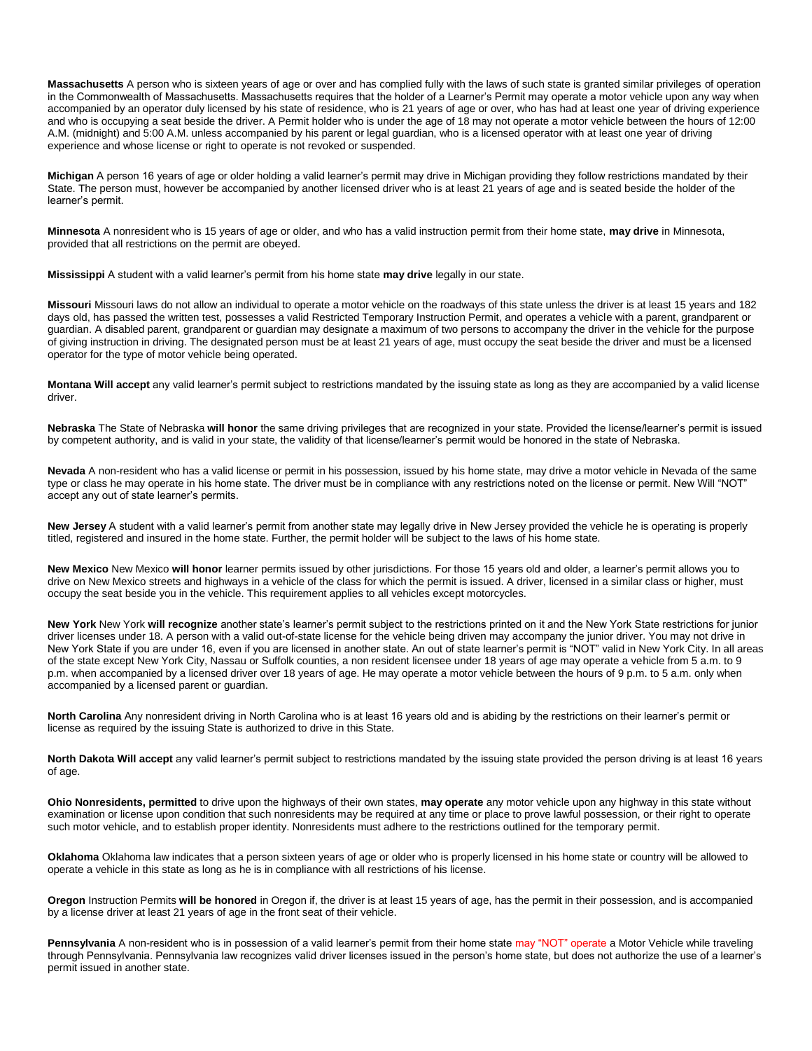**Massachusetts** A person who is sixteen years of age or over and has complied fully with the laws of such state is granted similar privileges of operation in the Commonwealth of Massachusetts. Massachusetts requires that the holder of a Learner's Permit may operate a motor vehicle upon any way when accompanied by an operator duly licensed by his state of residence, who is 21 years of age or over, who has had at least one year of driving experience and who is occupying a seat beside the driver. A Permit holder who is under the age of 18 may not operate a motor vehicle between the hours of 12:00 A.M. (midnight) and 5:00 A.M. unless accompanied by his parent or legal guardian, who is a licensed operator with at least one year of driving experience and whose license or right to operate is not revoked or suspended.

**Michigan** A person 16 years of age or older holding a valid learner's permit may drive in Michigan providing they follow restrictions mandated by their State. The person must, however be accompanied by another licensed driver who is at least 21 years of age and is seated beside the holder of the learner's permit.

**Minnesota** A nonresident who is 15 years of age or older, and who has a valid instruction permit from their home state, **may drive** in Minnesota, provided that all restrictions on the permit are obeyed.

**Mississippi** A student with a valid learner's permit from his home state **may drive** legally in our state.

**Missouri** Missouri laws do not allow an individual to operate a motor vehicle on the roadways of this state unless the driver is at least 15 years and 182 days old, has passed the written test, possesses a valid Restricted Temporary Instruction Permit, and operates a vehicle with a parent, grandparent or guardian. A disabled parent, grandparent or guardian may designate a maximum of two persons to accompany the driver in the vehicle for the purpose of giving instruction in driving. The designated person must be at least 21 years of age, must occupy the seat beside the driver and must be a licensed operator for the type of motor vehicle being operated.

**Montana Will accept** any valid learner's permit subject to restrictions mandated by the issuing state as long as they are accompanied by a valid license driver.

**Nebraska** The State of Nebraska **will honor** the same driving privileges that are recognized in your state. Provided the license/learner's permit is issued by competent authority, and is valid in your state, the validity of that license/learner's permit would be honored in the state of Nebraska.

**Nevada** A non-resident who has a valid license or permit in his possession, issued by his home state, may drive a motor vehicle in Nevada of the same type or class he may operate in his home state. The driver must be in compliance with any restrictions noted on the license or permit. New Will "NOT" accept any out of state learner's permits.

**New Jersey** A student with a valid learner's permit from another state may legally drive in New Jersey provided the vehicle he is operating is properly titled, registered and insured in the home state. Further, the permit holder will be subject to the laws of his home state.

**New Mexico** New Mexico **will honor** learner permits issued by other jurisdictions. For those 15 years old and older, a learner's permit allows you to drive on New Mexico streets and highways in a vehicle of the class for which the permit is issued. A driver, licensed in a similar class or higher, must occupy the seat beside you in the vehicle. This requirement applies to all vehicles except motorcycles.

**New York** New York **will recognize** another state's learner's permit subject to the restrictions printed on it and the New York State restrictions for junior driver licenses under 18. A person with a valid out-of-state license for the vehicle being driven may accompany the junior driver. You may not drive in New York State if you are under 16, even if you are licensed in another state. An out of state learner's permit is "NOT" valid in New York City. In all areas of the state except New York City, Nassau or Suffolk counties, a non resident licensee under 18 years of age may operate a vehicle from 5 a.m. to 9 p.m. when accompanied by a licensed driver over 18 years of age. He may operate a motor vehicle between the hours of 9 p.m. to 5 a.m. only when accompanied by a licensed parent or guardian.

**North Carolina** Any nonresident driving in North Carolina who is at least 16 years old and is abiding by the restrictions on their learner's permit or license as required by the issuing State is authorized to drive in this State.

**North Dakota Will accept** any valid learner's permit subject to restrictions mandated by the issuing state provided the person driving is at least 16 years of age.

**Ohio Nonresidents, permitted** to drive upon the highways of their own states, **may operate** any motor vehicle upon any highway in this state without examination or license upon condition that such nonresidents may be required at any time or place to prove lawful possession, or their right to operate such motor vehicle, and to establish proper identity. Nonresidents must adhere to the restrictions outlined for the temporary permit.

**Oklahoma** Oklahoma law indicates that a person sixteen years of age or older who is properly licensed in his home state or country will be allowed to operate a vehicle in this state as long as he is in compliance with all restrictions of his license.

**Oregon** Instruction Permits **will be honored** in Oregon if, the driver is at least 15 years of age, has the permit in their possession, and is accompanied by a license driver at least 21 years of age in the front seat of their vehicle.

**Pennsylvania** A non-resident who is in possession of a valid learner's permit from their home state may "NOT" operate a Motor Vehicle while traveling through Pennsylvania. Pennsylvania law recognizes valid driver licenses issued in the person's home state, but does not authorize the use of a learner's permit issued in another state.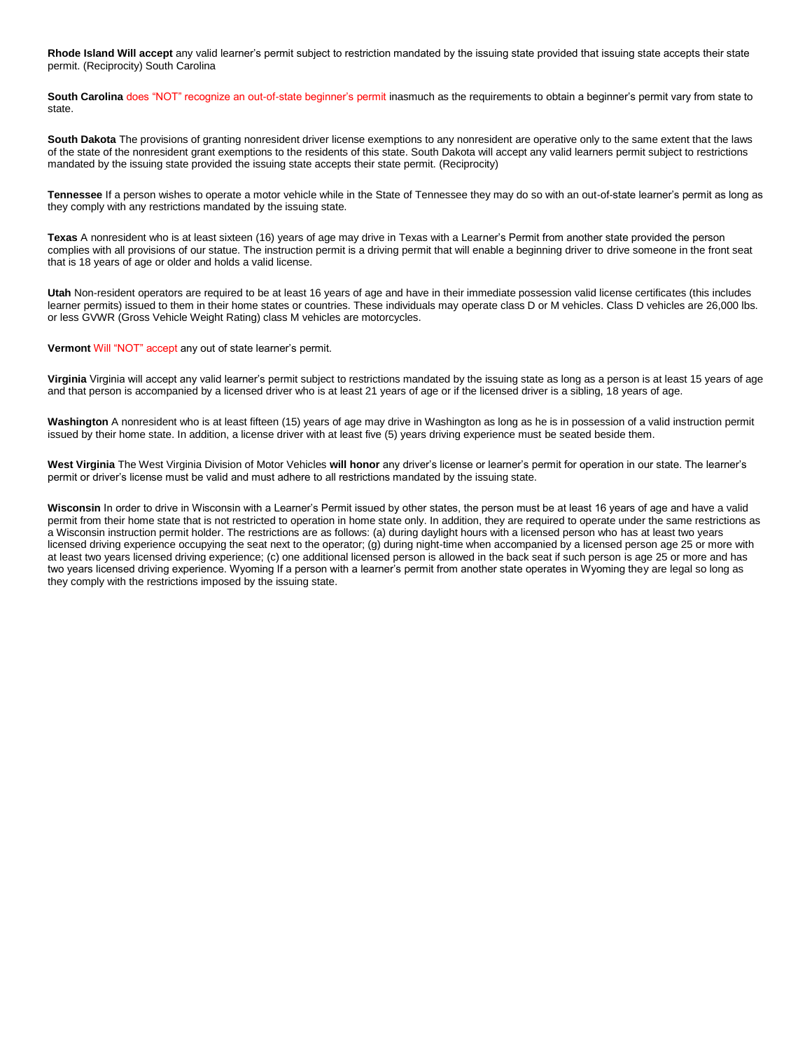**Rhode Island Will accept** any valid learner's permit subject to restriction mandated by the issuing state provided that issuing state accepts their state permit. (Reciprocity) South Carolina

South Carolina does "NOT" recognize an out-of-state beginner's permit inasmuch as the requirements to obtain a beginner's permit vary from state to state.

**South Dakota** The provisions of granting nonresident driver license exemptions to any nonresident are operative only to the same extent that the laws of the state of the nonresident grant exemptions to the residents of this state. South Dakota will accept any valid learners permit subject to restrictions mandated by the issuing state provided the issuing state accepts their state permit. (Reciprocity)

**Tennessee** If a person wishes to operate a motor vehicle while in the State of Tennessee they may do so with an out-of-state learner's permit as long as they comply with any restrictions mandated by the issuing state.

**Texas** A nonresident who is at least sixteen (16) years of age may drive in Texas with a Learner's Permit from another state provided the person complies with all provisions of our statue. The instruction permit is a driving permit that will enable a beginning driver to drive someone in the front seat that is 18 years of age or older and holds a valid license.

**Utah** Non-resident operators are required to be at least 16 years of age and have in their immediate possession valid license certificates (this includes learner permits) issued to them in their home states or countries. These individuals may operate class D or M vehicles. Class D vehicles are 26,000 lbs. or less GVWR (Gross Vehicle Weight Rating) class M vehicles are motorcycles.

**Vermont** Will "NOT" accept any out of state learner's permit.

**Virginia** Virginia will accept any valid learner's permit subject to restrictions mandated by the issuing state as long as a person is at least 15 years of age and that person is accompanied by a licensed driver who is at least 21 years of age or if the licensed driver is a sibling, 18 years of age.

**Washington** A nonresident who is at least fifteen (15) years of age may drive in Washington as long as he is in possession of a valid instruction permit issued by their home state. In addition, a license driver with at least five (5) years driving experience must be seated beside them.

**West Virginia** The West Virginia Division of Motor Vehicles **will honor** any driver's license or learner's permit for operation in our state. The learner's permit or driver's license must be valid and must adhere to all restrictions mandated by the issuing state.

**Wisconsin** In order to drive in Wisconsin with a Learner's Permit issued by other states, the person must be at least 16 years of age and have a valid permit from their home state that is not restricted to operation in home state only. In addition, they are required to operate under the same restrictions as a Wisconsin instruction permit holder. The restrictions are as follows: (a) during daylight hours with a licensed person who has at least two years licensed driving experience occupying the seat next to the operator; (g) during night-time when accompanied by a licensed person age 25 or more with at least two years licensed driving experience; (c) one additional licensed person is allowed in the back seat if such person is age 25 or more and has two years licensed driving experience. Wyoming If a person with a learner's permit from another state operates in Wyoming they are legal so long as they comply with the restrictions imposed by the issuing state.